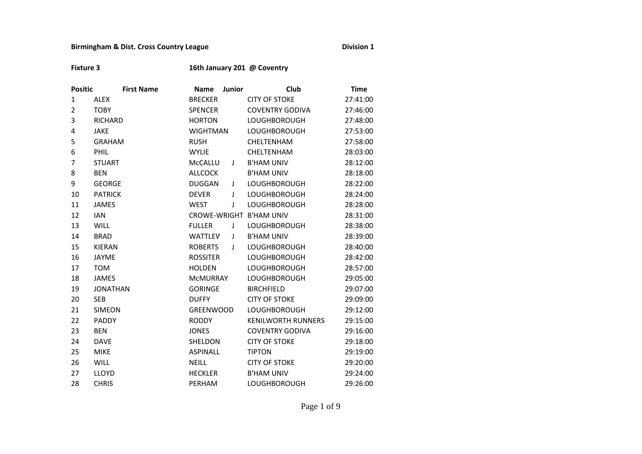## **Birmingham & Dist. Cross Country League Division 1 Division 1**

**Fixture 3 16th January 201 @ Coventry** 

| <b>Positic</b> | <b>First Name</b> | <b>Name</b>      | <b>Junior</b> | Club                      | <b>Time</b> |
|----------------|-------------------|------------------|---------------|---------------------------|-------------|
| $\mathbf{1}$   | <b>ALEX</b>       | <b>BRECKER</b>   |               | <b>CITY OF STOKE</b>      | 27:41:00    |
| 2              | <b>TOBY</b>       | <b>SPENCER</b>   |               | <b>COVENTRY GODIVA</b>    | 27:46:00    |
| 3              | <b>RICHARD</b>    | <b>HORTON</b>    |               | <b>LOUGHBOROUGH</b>       | 27:48:00    |
| 4              | <b>JAKE</b>       | <b>WIGHTMAN</b>  |               | <b>LOUGHBOROUGH</b>       | 27:53:00    |
| 5              | <b>GRAHAM</b>     | <b>RUSH</b>      |               | CHELTENHAM                | 27:58:00    |
| 6              | PHIL              | <b>WYLIE</b>     |               | CHELTENHAM                | 28:03:00    |
| 7              | <b>STUART</b>     | McCALLU          | J             | <b>B'HAM UNIV</b>         | 28:12:00    |
| 8              | <b>BEN</b>        | <b>ALLCOCK</b>   |               | <b>B'HAM UNIV</b>         | 28:18:00    |
| 9              | <b>GEORGE</b>     | <b>DUGGAN</b>    | J             | <b>LOUGHBOROUGH</b>       | 28:22:00    |
| 10             | <b>PATRICK</b>    | <b>DEVER</b>     | $\mathbf{I}$  | <b>LOUGHBOROUGH</b>       | 28:24:00    |
| 11             | <b>JAMES</b>      | <b>WEST</b>      | J             | <b>LOUGHBOROUGH</b>       | 28:28:00    |
| 12             | <b>IAN</b>        |                  |               | CROWE-WRIGHT B'HAM UNIV   | 28:31:00    |
| 13             | <b>WILL</b>       | <b>FULLER</b>    | J             | <b>LOUGHBOROUGH</b>       | 28:38:00    |
| 14             | <b>BRAD</b>       | WATTLEV          | J             | <b>B'HAM UNIV</b>         | 28:39:00    |
| 15             | <b>KIERAN</b>     | <b>ROBERTS</b>   | T             | <b>LOUGHBOROUGH</b>       | 28:40:00    |
| 16             | <b>JAYME</b>      | <b>ROSSITER</b>  |               | <b>LOUGHBOROUGH</b>       | 28:42:00    |
| 17             | <b>TOM</b>        | <b>HOLDEN</b>    |               | <b>LOUGHBOROUGH</b>       | 28:57:00    |
| 18             | <b>JAMES</b>      | <b>MCMURRAY</b>  |               | <b>LOUGHBOROUGH</b>       | 29:05:00    |
| 19             | <b>JONATHAN</b>   | <b>GORINGE</b>   |               | <b>BIRCHFIELD</b>         | 29:07:00    |
| 20             | <b>SEB</b>        | <b>DUFFY</b>     |               | <b>CITY OF STOKE</b>      | 29:09:00    |
| 21             | <b>SIMEON</b>     | <b>GREENWOOD</b> |               | <b>LOUGHBOROUGH</b>       | 29:12:00    |
| 22             | <b>PADDY</b>      | <b>RODDY</b>     |               | <b>KENILWORTH RUNNERS</b> | 29:15:00    |
| 23             | <b>BEN</b>        | <b>JONES</b>     |               | <b>COVENTRY GODIVA</b>    | 29:16:00    |
| 24             | <b>DAVE</b>       | SHELDON          |               | <b>CITY OF STOKE</b>      | 29:18:00    |
| 25             | <b>MIKE</b>       | <b>ASPINALL</b>  |               | <b>TIPTON</b>             | 29:19:00    |
| 26             | <b>WILL</b>       | <b>NEILL</b>     |               | <b>CITY OF STOKE</b>      | 29:20:00    |
| 27             | LLOYD             | <b>HECKLER</b>   |               | <b>B'HAM UNIV</b>         | 29:24:00    |
| 28             | <b>CHRIS</b>      | PERHAM           |               | <b>LOUGHBOROUGH</b>       | 29:26:00    |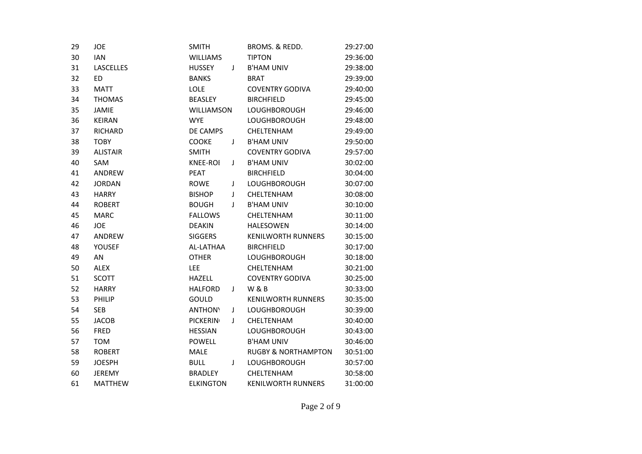| 29 | JOE              | <b>SMITH</b>     |   | BROMS. & REDD.                 | 29:27:00 |
|----|------------------|------------------|---|--------------------------------|----------|
| 30 | <b>IAN</b>       | <b>WILLIAMS</b>  |   | <b>TIPTON</b>                  | 29:36:00 |
| 31 | <b>LASCELLES</b> | <b>HUSSEY</b>    | J | <b>B'HAM UNIV</b>              | 29:38:00 |
| 32 | ED               | <b>BANKS</b>     |   | <b>BRAT</b>                    | 29:39:00 |
| 33 | <b>MATT</b>      | <b>LOLE</b>      |   | <b>COVENTRY GODIVA</b>         | 29:40:00 |
| 34 | <b>THOMAS</b>    | <b>BEASLEY</b>   |   | <b>BIRCHFIELD</b>              | 29:45:00 |
| 35 | <b>JAMIE</b>     | WILLIAMSON       |   | <b>LOUGHBOROUGH</b>            | 29:46:00 |
| 36 | <b>KEIRAN</b>    | <b>WYE</b>       |   | <b>LOUGHBOROUGH</b>            | 29:48:00 |
| 37 | <b>RICHARD</b>   | DE CAMPS         |   | CHELTENHAM                     | 29:49:00 |
| 38 | <b>TOBY</b>      | COOKE            | J | <b>B'HAM UNIV</b>              | 29:50:00 |
| 39 | <b>ALISTAIR</b>  | <b>SMITH</b>     |   | <b>COVENTRY GODIVA</b>         | 29:57:00 |
| 40 | SAM              | <b>KNEE-ROL</b>  | T | <b>B'HAM UNIV</b>              | 30:02:00 |
| 41 | ANDREW           | PEAT             |   | <b>BIRCHFIELD</b>              | 30:04:00 |
| 42 | <b>JORDAN</b>    | <b>ROWE</b>      | J | <b>LOUGHBOROUGH</b>            | 30:07:00 |
| 43 | <b>HARRY</b>     | <b>BISHOP</b>    | J | <b>CHELTENHAM</b>              | 30:08:00 |
| 44 | <b>ROBERT</b>    | <b>BOUGH</b>     | J | <b>B'HAM UNIV</b>              | 30:10:00 |
| 45 | <b>MARC</b>      | <b>FALLOWS</b>   |   | CHELTENHAM                     | 30:11:00 |
| 46 | <b>JOE</b>       | <b>DEAKIN</b>    |   | <b>HALESOWEN</b>               | 30:14:00 |
| 47 | ANDREW           | <b>SIGGERS</b>   |   | <b>KENILWORTH RUNNERS</b>      | 30:15:00 |
| 48 | <b>YOUSEF</b>    | AL-LATHAA        |   | <b>BIRCHFIELD</b>              | 30:17:00 |
| 49 | AN               | <b>OTHER</b>     |   | <b>LOUGHBOROUGH</b>            | 30:18:00 |
| 50 | <b>ALEX</b>      | <b>LEE</b>       |   | CHELTENHAM                     | 30:21:00 |
| 51 | <b>SCOTT</b>     | <b>HAZELL</b>    |   | <b>COVENTRY GODIVA</b>         | 30:25:00 |
| 52 | <b>HARRY</b>     | <b>HALFORD</b>   | J | <b>W&amp;B</b>                 | 30:33:00 |
| 53 | PHILIP           | GOULD            |   | <b>KENILWORTH RUNNERS</b>      | 30:35:00 |
| 54 | <b>SEB</b>       | <b>ANTHONY</b>   | T | <b>LOUGHBOROUGH</b>            | 30:39:00 |
| 55 | <b>JACOB</b>     | <b>PICKERIN</b>  | T | <b>CHELTENHAM</b>              | 30:40:00 |
| 56 | <b>FRED</b>      | <b>HESSIAN</b>   |   | <b>LOUGHBOROUGH</b>            | 30:43:00 |
| 57 | <b>TOM</b>       | <b>POWELL</b>    |   | <b>B'HAM UNIV</b>              | 30:46:00 |
| 58 | <b>ROBERT</b>    | <b>MALE</b>      |   | <b>RUGBY &amp; NORTHAMPTON</b> | 30:51:00 |
| 59 | <b>JOESPH</b>    | <b>BULL</b>      | J | <b>LOUGHBOROUGH</b>            | 30:57:00 |
| 60 | <b>JEREMY</b>    | <b>BRADLEY</b>   |   | CHELTENHAM                     | 30:58:00 |
| 61 | <b>MATTHEW</b>   | <b>ELKINGTON</b> |   | <b>KENILWORTH RUNNERS</b>      | 31:00:00 |
|    |                  |                  |   |                                |          |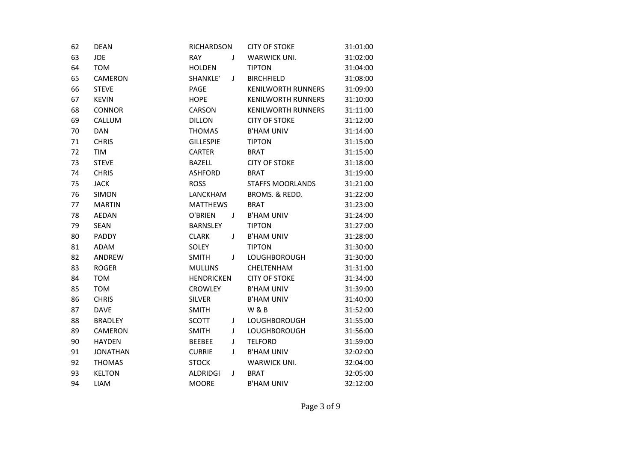| 62 | <b>DEAN</b>     | RICHARDSON        |   | <b>CITY OF STOKE</b>      | 31:01:00 |
|----|-----------------|-------------------|---|---------------------------|----------|
| 63 | <b>JOE</b>      | <b>RAY</b>        | J | WARWICK UNI.              | 31:02:00 |
| 64 | <b>TOM</b>      | <b>HOLDEN</b>     |   | <b>TIPTON</b>             | 31:04:00 |
| 65 | <b>CAMERON</b>  | <b>SHANKLE</b> '  | J | <b>BIRCHFIELD</b>         | 31:08:00 |
| 66 | <b>STEVE</b>    | PAGE              |   | <b>KENILWORTH RUNNERS</b> | 31:09:00 |
| 67 | <b>KEVIN</b>    | <b>HOPE</b>       |   | <b>KENILWORTH RUNNERS</b> | 31:10:00 |
| 68 | <b>CONNOR</b>   | CARSON            |   | <b>KENILWORTH RUNNERS</b> | 31:11:00 |
| 69 | CALLUM          | <b>DILLON</b>     |   | <b>CITY OF STOKE</b>      | 31:12:00 |
| 70 | <b>DAN</b>      | <b>THOMAS</b>     |   | <b>B'HAM UNIV</b>         | 31:14:00 |
| 71 | <b>CHRIS</b>    | <b>GILLESPIE</b>  |   | <b>TIPTON</b>             | 31:15:00 |
| 72 | TIM             | <b>CARTER</b>     |   | <b>BRAT</b>               | 31:15:00 |
| 73 | <b>STEVE</b>    | <b>BAZELL</b>     |   | <b>CITY OF STOKE</b>      | 31:18:00 |
| 74 | <b>CHRIS</b>    | <b>ASHFORD</b>    |   | <b>BRAT</b>               | 31:19:00 |
| 75 | <b>JACK</b>     | <b>ROSS</b>       |   | <b>STAFFS MOORLANDS</b>   | 31:21:00 |
| 76 | <b>SIMON</b>    | LANCKHAM          |   | BROMS. & REDD.            | 31:22:00 |
| 77 | <b>MARTIN</b>   | <b>MATTHEWS</b>   |   | <b>BRAT</b>               | 31:23:00 |
| 78 | <b>AEDAN</b>    | O'BRIEN           | J | <b>B'HAM UNIV</b>         | 31:24:00 |
| 79 | <b>SEAN</b>     | <b>BARNSLEY</b>   |   | <b>TIPTON</b>             | 31:27:00 |
| 80 | PADDY           | <b>CLARK</b>      | J | <b>B'HAM UNIV</b>         | 31:28:00 |
| 81 | ADAM            | SOLEY             |   | <b>TIPTON</b>             | 31:30:00 |
| 82 | ANDREW          | <b>SMITH</b>      | J | <b>LOUGHBOROUGH</b>       | 31:30:00 |
| 83 | <b>ROGER</b>    | <b>MULLINS</b>    |   | CHELTENHAM                | 31:31:00 |
| 84 | <b>TOM</b>      | <b>HENDRICKEN</b> |   | <b>CITY OF STOKE</b>      | 31:34:00 |
| 85 | <b>TOM</b>      | <b>CROWLEY</b>    |   | <b>B'HAM UNIV</b>         | 31:39:00 |
| 86 | <b>CHRIS</b>    | <b>SILVER</b>     |   | <b>B'HAM UNIV</b>         | 31:40:00 |
| 87 | <b>DAVE</b>     | <b>SMITH</b>      |   | <b>W&amp;B</b>            | 31:52:00 |
| 88 | <b>BRADLEY</b>  | <b>SCOTT</b>      | J | <b>LOUGHBOROUGH</b>       | 31:55:00 |
| 89 | <b>CAMERON</b>  | <b>SMITH</b>      | J | <b>LOUGHBOROUGH</b>       | 31:56:00 |
| 90 | <b>HAYDEN</b>   | <b>BEEBEE</b>     | J | <b>TELFORD</b>            | 31:59:00 |
| 91 | <b>JONATHAN</b> | <b>CURRIE</b>     | J | <b>B'HAM UNIV</b>         | 32:02:00 |
| 92 | <b>THOMAS</b>   | <b>STOCK</b>      |   | WARWICK UNI.              | 32:04:00 |
| 93 | <b>KELTON</b>   | ALDRIDGI          | J | <b>BRAT</b>               | 32:05:00 |
| 94 | <b>LIAM</b>     | <b>MOORE</b>      |   | <b>B'HAM UNIV</b>         | 32:12:00 |
|    |                 |                   |   |                           |          |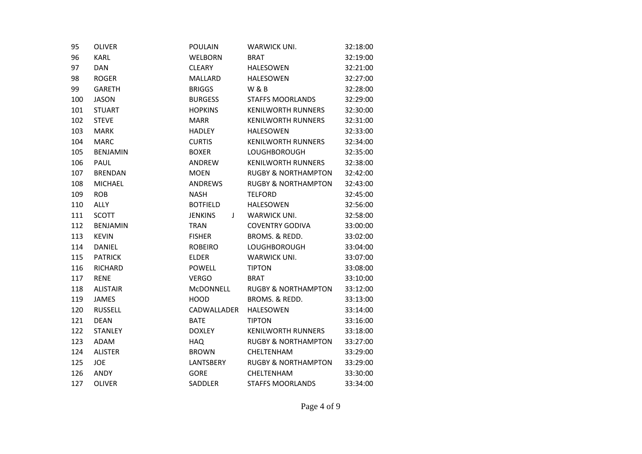| <b>OLIVER</b>   | <b>POULAIN</b>      | WARWICK UNI.                   | 32:18:00 |  |
|-----------------|---------------------|--------------------------------|----------|--|
| <b>KARL</b>     | <b>WELBORN</b>      | <b>BRAT</b>                    | 32:19:00 |  |
| <b>DAN</b>      | <b>CLEARY</b>       | <b>HALESOWEN</b>               | 32:21:00 |  |
| <b>ROGER</b>    | <b>MALLARD</b>      | <b>HALESOWEN</b>               | 32:27:00 |  |
| <b>GARETH</b>   | <b>BRIGGS</b>       | <b>W &amp; B</b>               | 32:28:00 |  |
| <b>JASON</b>    | <b>BURGESS</b>      | <b>STAFFS MOORLANDS</b>        | 32:29:00 |  |
| <b>STUART</b>   | <b>HOPKINS</b>      | <b>KENILWORTH RUNNERS</b>      | 32:30:00 |  |
| <b>STEVE</b>    | <b>MARR</b>         | <b>KENILWORTH RUNNERS</b>      | 32:31:00 |  |
| <b>MARK</b>     | <b>HADLEY</b>       | <b>HALESOWEN</b>               | 32:33:00 |  |
| <b>MARC</b>     | <b>CURTIS</b>       | <b>KENILWORTH RUNNERS</b>      | 32:34:00 |  |
| <b>BENJAMIN</b> | <b>BOXER</b>        | <b>LOUGHBOROUGH</b>            | 32:35:00 |  |
| PAUL            | ANDREW              | <b>KENILWORTH RUNNERS</b>      | 32:38:00 |  |
| <b>BRENDAN</b>  | <b>MOEN</b>         | <b>RUGBY &amp; NORTHAMPTON</b> | 32:42:00 |  |
| <b>MICHAEL</b>  | <b>ANDREWS</b>      | <b>RUGBY &amp; NORTHAMPTON</b> | 32:43:00 |  |
| <b>ROB</b>      | <b>NASH</b>         | <b>TELFORD</b>                 | 32:45:00 |  |
| <b>ALLY</b>     | <b>BOTFIELD</b>     | <b>HALESOWEN</b>               | 32:56:00 |  |
| <b>SCOTT</b>    | <b>JENKINS</b><br>J | <b>WARWICK UNI.</b>            | 32:58:00 |  |
| <b>BENJAMIN</b> | <b>TRAN</b>         | <b>COVENTRY GODIVA</b>         | 33:00:00 |  |
| <b>KEVIN</b>    | <b>FISHER</b>       | BROMS. & REDD.                 | 33:02:00 |  |
| <b>DANIEL</b>   | <b>ROBEIRO</b>      | <b>LOUGHBOROUGH</b>            | 33:04:00 |  |
| <b>PATRICK</b>  | <b>ELDER</b>        | <b>WARWICK UNI.</b>            | 33:07:00 |  |
| <b>RICHARD</b>  | <b>POWELL</b>       | <b>TIPTON</b>                  | 33:08:00 |  |
| <b>RENE</b>     | <b>VERGO</b>        | <b>BRAT</b>                    | 33:10:00 |  |
| <b>ALISTAIR</b> | <b>MCDONNELL</b>    | <b>RUGBY &amp; NORTHAMPTON</b> | 33:12:00 |  |
| <b>JAMES</b>    | HOOD                | BROMS, & REDD.                 | 33:13:00 |  |
| <b>RUSSELL</b>  | CADWALLADER         | <b>HALESOWEN</b>               | 33:14:00 |  |
| <b>DEAN</b>     | <b>BATE</b>         | <b>TIPTON</b>                  | 33:16:00 |  |
| <b>STANLEY</b>  | <b>DOXLEY</b>       | <b>KENILWORTH RUNNERS</b>      | 33:18:00 |  |
| <b>ADAM</b>     | <b>HAQ</b>          | <b>RUGBY &amp; NORTHAMPTON</b> | 33:27:00 |  |
| <b>ALISTER</b>  | <b>BROWN</b>        | <b>CHELTENHAM</b>              | 33:29:00 |  |
| <b>JOE</b>      | LANTSBERY           | <b>RUGBY &amp; NORTHAMPTON</b> | 33:29:00 |  |
| ANDY            | <b>GORE</b>         | <b>CHELTENHAM</b>              | 33:30:00 |  |
| <b>OLIVER</b>   | <b>SADDLER</b>      | <b>STAFFS MOORLANDS</b>        | 33:34:00 |  |
|                 |                     |                                |          |  |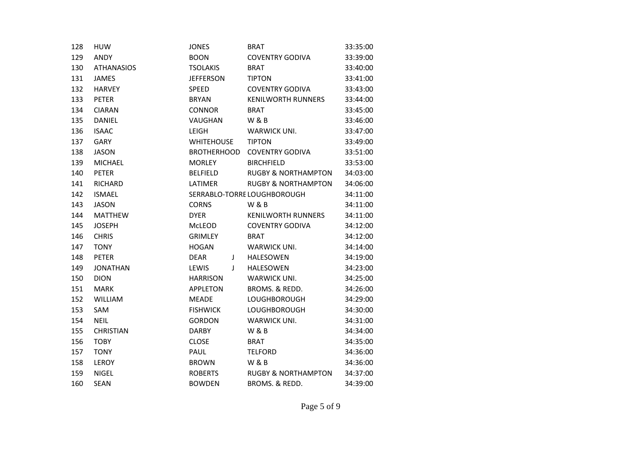| 128 | <b>HUW</b>        | <b>JONES</b>       |   | <b>BRAT</b>                    | 33:35:00 |
|-----|-------------------|--------------------|---|--------------------------------|----------|
| 129 | ANDY              | <b>BOON</b>        |   | <b>COVENTRY GODIVA</b>         | 33:39:00 |
| 130 | <b>ATHANASIOS</b> | <b>TSOLAKIS</b>    |   | <b>BRAT</b>                    | 33:40:00 |
| 131 | <b>JAMES</b>      | <b>JEFFERSON</b>   |   | <b>TIPTON</b>                  | 33:41:00 |
| 132 | <b>HARVEY</b>     | <b>SPEED</b>       |   | <b>COVENTRY GODIVA</b>         | 33:43:00 |
| 133 | <b>PETER</b>      | <b>BRYAN</b>       |   | <b>KENILWORTH RUNNERS</b>      | 33:44:00 |
| 134 | <b>CIARAN</b>     | <b>CONNOR</b>      |   | <b>BRAT</b>                    | 33:45:00 |
| 135 | DANIEL            | <b>VAUGHAN</b>     |   | <b>W&amp;B</b>                 | 33:46:00 |
| 136 | <b>ISAAC</b>      | LEIGH              |   | WARWICK UNI.                   | 33:47:00 |
| 137 | <b>GARY</b>       | <b>WHITEHOUSE</b>  |   | <b>TIPTON</b>                  | 33:49:00 |
| 138 | <b>JASON</b>      | <b>BROTHERHOOD</b> |   | <b>COVENTRY GODIVA</b>         | 33:51:00 |
| 139 | <b>MICHAEL</b>    | <b>MORLEY</b>      |   | <b>BIRCHFIELD</b>              | 33:53:00 |
| 140 | <b>PETER</b>      | <b>BELFIELD</b>    |   | <b>RUGBY &amp; NORTHAMPTON</b> | 34:03:00 |
| 141 | <b>RICHARD</b>    | LATIMER            |   | <b>RUGBY &amp; NORTHAMPTON</b> | 34:06:00 |
| 142 | <b>ISMAEL</b>     |                    |   | SERRABLO-TORRE LOUGHBOROUGH    | 34:11:00 |
| 143 | <b>JASON</b>      | <b>CORNS</b>       |   | <b>W&amp;B</b>                 | 34:11:00 |
| 144 | <b>MATTHEW</b>    | <b>DYER</b>        |   | <b>KENILWORTH RUNNERS</b>      | 34:11:00 |
| 145 | <b>JOSEPH</b>     | McLEOD             |   | <b>COVENTRY GODIVA</b>         | 34:12:00 |
| 146 | <b>CHRIS</b>      | <b>GRIMLEY</b>     |   | <b>BRAT</b>                    | 34:12:00 |
| 147 | <b>TONY</b>       | <b>HOGAN</b>       |   | WARWICK UNI.                   | 34:14:00 |
| 148 | <b>PETER</b>      | <b>DEAR</b>        | J | <b>HALESOWEN</b>               | 34:19:00 |
| 149 | <b>JONATHAN</b>   | LEWIS              | T | <b>HALESOWEN</b>               | 34:23:00 |
| 150 | <b>DION</b>       | <b>HARRISON</b>    |   | <b>WARWICK UNI.</b>            | 34:25:00 |
| 151 | <b>MARK</b>       | <b>APPLETON</b>    |   | BROMS. & REDD.                 | 34:26:00 |
| 152 | WILLIAM           | <b>MEADE</b>       |   | <b>LOUGHBOROUGH</b>            | 34:29:00 |
| 153 | <b>SAM</b>        | <b>FISHWICK</b>    |   | <b>LOUGHBOROUGH</b>            | 34:30:00 |
| 154 | <b>NEIL</b>       | <b>GORDON</b>      |   | <b>WARWICK UNI.</b>            | 34:31:00 |
| 155 | <b>CHRISTIAN</b>  | <b>DARBY</b>       |   | <b>W&amp;B</b>                 | 34:34:00 |
| 156 | <b>TOBY</b>       | <b>CLOSE</b>       |   | <b>BRAT</b>                    | 34:35:00 |
| 157 | <b>TONY</b>       | PAUL               |   | <b>TELFORD</b>                 | 34:36:00 |
| 158 | LEROY             | <b>BROWN</b>       |   | <b>W&amp;B</b>                 | 34:36:00 |
| 159 | <b>NIGEL</b>      | <b>ROBERTS</b>     |   | <b>RUGBY &amp; NORTHAMPTON</b> | 34:37:00 |
| 160 | <b>SEAN</b>       | <b>BOWDEN</b>      |   | BROMS, & REDD.                 | 34:39:00 |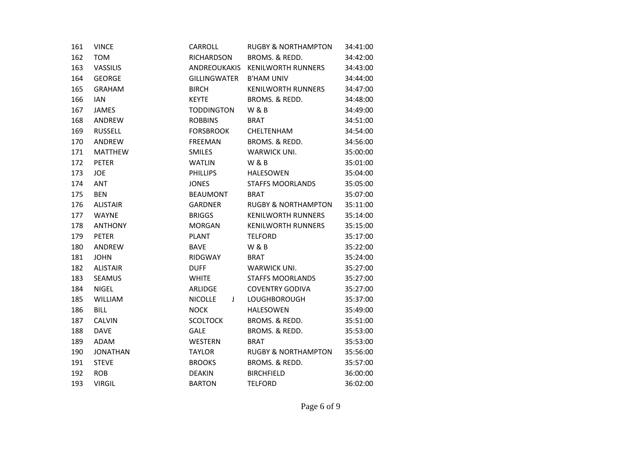| 161 | <b>VINCE</b>    | CARROLL             | <b>RUGBY &amp; NORTHAMPTON</b> | 34:41:00 |
|-----|-----------------|---------------------|--------------------------------|----------|
| 162 | <b>TOM</b>      | <b>RICHARDSON</b>   | BROMS. & REDD.                 | 34:42:00 |
| 163 | VASSILIS        | ANDREOUKAKIS        | <b>KENILWORTH RUNNERS</b>      | 34:43:00 |
| 164 | <b>GEORGE</b>   | <b>GILLINGWATER</b> | <b>B'HAM UNIV</b>              | 34:44:00 |
| 165 | <b>GRAHAM</b>   | <b>BIRCH</b>        | <b>KENILWORTH RUNNERS</b>      | 34:47:00 |
| 166 | <b>IAN</b>      | <b>KEYTE</b>        | BROMS. & REDD.                 | 34:48:00 |
| 167 | <b>JAMES</b>    | <b>TODDINGTON</b>   | W&B                            | 34:49:00 |
| 168 | ANDREW          | <b>ROBBINS</b>      | <b>BRAT</b>                    | 34:51:00 |
| 169 | <b>RUSSELL</b>  | <b>FORSBROOK</b>    | CHELTENHAM                     | 34:54:00 |
| 170 | ANDREW          | <b>FREEMAN</b>      | BROMS. & REDD.                 | 34:56:00 |
| 171 | <b>MATTHEW</b>  | <b>SMILES</b>       | WARWICK UNI.                   | 35:00:00 |
| 172 | <b>PETER</b>    | <b>WATLIN</b>       | <b>W&amp;B</b>                 | 35:01:00 |
| 173 | <b>JOE</b>      | <b>PHILLIPS</b>     | <b>HALESOWEN</b>               | 35:04:00 |
| 174 | <b>ANT</b>      | <b>JONES</b>        | <b>STAFFS MOORLANDS</b>        | 35:05:00 |
| 175 | <b>BEN</b>      | <b>BEAUMONT</b>     | <b>BRAT</b>                    | 35:07:00 |
| 176 | <b>ALISTAIR</b> | <b>GARDNER</b>      | <b>RUGBY &amp; NORTHAMPTON</b> | 35:11:00 |
| 177 | <b>WAYNE</b>    | <b>BRIGGS</b>       | <b>KENILWORTH RUNNERS</b>      | 35:14:00 |
| 178 | <b>ANTHONY</b>  | <b>MORGAN</b>       | <b>KENILWORTH RUNNERS</b>      | 35:15:00 |
| 179 | <b>PETER</b>    | <b>PLANT</b>        | <b>TELFORD</b>                 | 35:17:00 |
| 180 | ANDREW          | <b>BAVE</b>         | <b>W&amp;B</b>                 | 35:22:00 |
| 181 | <b>JOHN</b>     | RIDGWAY             | <b>BRAT</b>                    | 35:24:00 |
| 182 | <b>ALISTAIR</b> | <b>DUFF</b>         | <b>WARWICK UNI.</b>            | 35:27:00 |
| 183 | <b>SEAMUS</b>   | <b>WHITE</b>        | <b>STAFFS MOORLANDS</b>        | 35:27:00 |
| 184 | <b>NIGEL</b>    | ARLIDGE             | <b>COVENTRY GODIVA</b>         | 35:27:00 |
| 185 | WILLIAM         | <b>NICOLLE</b><br>J | <b>LOUGHBOROUGH</b>            | 35:37:00 |
| 186 | <b>BILL</b>     | <b>NOCK</b>         | <b>HALESOWEN</b>               | 35:49:00 |
| 187 | <b>CALVIN</b>   | <b>SCOLTOCK</b>     | BROMS. & REDD.                 | 35:51:00 |
| 188 | <b>DAVE</b>     | <b>GALE</b>         | BROMS. & REDD.                 | 35:53:00 |
| 189 | ADAM            | <b>WESTERN</b>      | <b>BRAT</b>                    | 35:53:00 |
| 190 | <b>JONATHAN</b> | <b>TAYLOR</b>       | <b>RUGBY &amp; NORTHAMPTON</b> | 35:56:00 |
| 191 | <b>STEVE</b>    | <b>BROOKS</b>       | BROMS. & REDD.                 | 35:57:00 |
| 192 | <b>ROB</b>      | <b>DEAKIN</b>       | <b>BIRCHFIELD</b>              | 36:00:00 |
| 193 | <b>VIRGIL</b>   | <b>BARTON</b>       | <b>TELFORD</b>                 | 36:02:00 |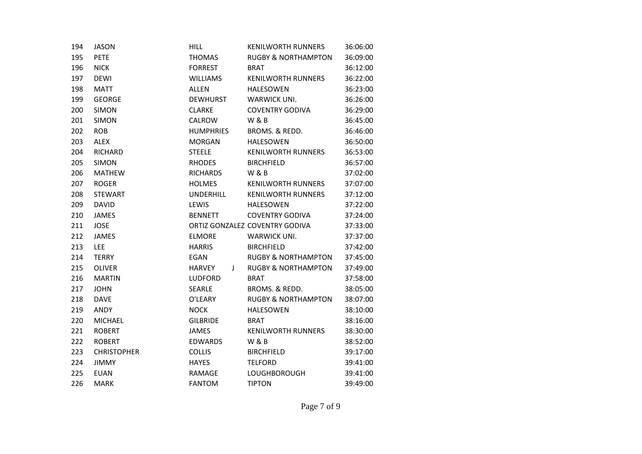| 194 | <b>JASON</b>       | <b>HILL</b>        | <b>KENILWORTH RUNNERS</b>      | 36:06:00 |  |
|-----|--------------------|--------------------|--------------------------------|----------|--|
| 195 | <b>PETE</b>        | <b>THOMAS</b>      | <b>RUGBY &amp; NORTHAMPTON</b> | 36:09:00 |  |
| 196 | <b>NICK</b>        | <b>FORREST</b>     | <b>BRAT</b>                    | 36:12:00 |  |
| 197 | <b>DEWI</b>        | <b>WILLIAMS</b>    | <b>KENILWORTH RUNNERS</b>      | 36:22:00 |  |
| 198 | <b>MATT</b>        | <b>ALLEN</b>       | <b>HALESOWEN</b>               | 36:23:00 |  |
| 199 | <b>GEORGE</b>      | <b>DEWHURST</b>    | <b>WARWICK UNI.</b>            | 36:26:00 |  |
| 200 | <b>SIMON</b>       | <b>CLARKE</b>      | <b>COVENTRY GODIVA</b>         | 36:29:00 |  |
| 201 | <b>SIMON</b>       | <b>CALROW</b>      | <b>W&amp;B</b>                 | 36:45:00 |  |
| 202 | <b>ROB</b>         | <b>HUMPHRIES</b>   | BROMS. & REDD.                 | 36:46:00 |  |
| 203 | <b>ALEX</b>        | <b>MORGAN</b>      | <b>HALESOWEN</b>               | 36:50:00 |  |
| 204 | <b>RICHARD</b>     | <b>STEELE</b>      | <b>KENILWORTH RUNNERS</b>      | 36:53:00 |  |
| 205 | <b>SIMON</b>       | <b>RHODES</b>      | <b>BIRCHFIELD</b>              | 36:57:00 |  |
| 206 | <b>MATHEW</b>      | <b>RICHARDS</b>    | <b>W&amp;B</b>                 | 37:02:00 |  |
| 207 | <b>ROGER</b>       | <b>HOLMES</b>      | <b>KENILWORTH RUNNERS</b>      | 37:07:00 |  |
| 208 | <b>STEWART</b>     | <b>UNDERHILL</b>   | <b>KENILWORTH RUNNERS</b>      | 37:12:00 |  |
| 209 | <b>DAVID</b>       | LEWIS              | <b>HALESOWEN</b>               | 37:22:00 |  |
| 210 | <b>JAMES</b>       | <b>BENNETT</b>     | <b>COVENTRY GODIVA</b>         | 37:24:00 |  |
| 211 | <b>JOSE</b>        |                    | ORTIZ GONZALEZ COVENTRY GODIVA | 37:33:00 |  |
| 212 | <b>JAMES</b>       | <b>ELMORE</b>      | WARWICK UNI.                   | 37:37:00 |  |
| 213 | <b>LEE</b>         | <b>HARRIS</b>      | <b>BIRCHFIELD</b>              | 37:42:00 |  |
| 214 | <b>TERRY</b>       | EGAN               | <b>RUGBY &amp; NORTHAMPTON</b> | 37:45:00 |  |
| 215 | <b>OLIVER</b>      | <b>HARVEY</b><br>J | <b>RUGBY &amp; NORTHAMPTON</b> | 37:49:00 |  |
| 216 | <b>MARTIN</b>      | LUDFORD            | <b>BRAT</b>                    | 37:58:00 |  |
| 217 | JOHN               | <b>SEARLE</b>      | BROMS. & REDD.                 | 38:05:00 |  |
| 218 | <b>DAVE</b>        | O'LEARY            | <b>RUGBY &amp; NORTHAMPTON</b> | 38:07:00 |  |
| 219 | ANDY               | <b>NOCK</b>        | <b>HALESOWEN</b>               | 38:10:00 |  |
| 220 | <b>MICHAEL</b>     | <b>GILBRIDE</b>    | <b>BRAT</b>                    | 38:16:00 |  |
| 221 | <b>ROBERT</b>      | <b>JAMES</b>       | <b>KENILWORTH RUNNERS</b>      | 38:30:00 |  |
| 222 | <b>ROBERT</b>      | <b>EDWARDS</b>     | W&B                            | 38:52:00 |  |
| 223 | <b>CHRISTOPHER</b> | <b>COLLIS</b>      | <b>BIRCHFIELD</b>              | 39:17:00 |  |
| 224 | <b>JIMMY</b>       | <b>HAYES</b>       | <b>TELFORD</b>                 | 39:41:00 |  |
| 225 | <b>EUAN</b>        | <b>RAMAGE</b>      | <b>LOUGHBOROUGH</b>            | 39:41:00 |  |
| 226 | <b>MARK</b>        | <b>FANTOM</b>      | <b>TIPTON</b>                  | 39:49:00 |  |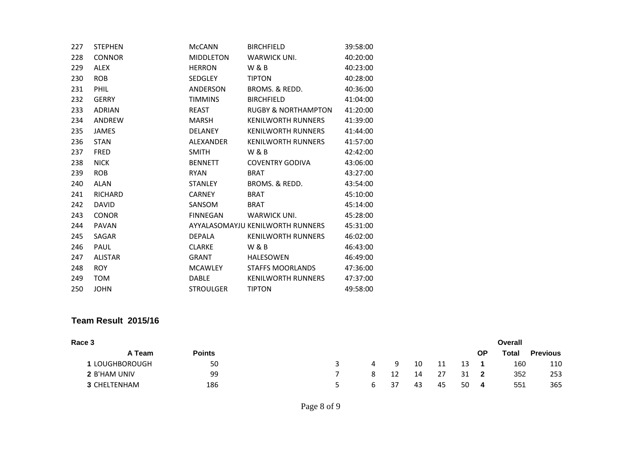| 227 | <b>STEPHEN</b> | <b>McCANN</b>    | <b>BIRCHFIELD</b>                | 39:58:00 |
|-----|----------------|------------------|----------------------------------|----------|
| 228 | <b>CONNOR</b>  | <b>MIDDLETON</b> | <b>WARWICK UNI.</b>              | 40:20:00 |
| 229 | <b>ALEX</b>    | <b>HERRON</b>    | <b>W&amp;B</b>                   | 40:23:00 |
| 230 | <b>ROB</b>     | <b>SEDGLEY</b>   | <b>TIPTON</b>                    | 40:28:00 |
| 231 | <b>PHIL</b>    | <b>ANDERSON</b>  | BROMS, & REDD.                   | 40:36:00 |
| 232 | <b>GERRY</b>   | <b>TIMMINS</b>   | <b>BIRCHFIELD</b>                | 41:04:00 |
| 233 | <b>ADRIAN</b>  | <b>REAST</b>     | <b>RUGBY &amp; NORTHAMPTON</b>   | 41:20:00 |
| 234 | ANDREW         | <b>MARSH</b>     | <b>KENILWORTH RUNNERS</b>        | 41:39:00 |
| 235 | <b>JAMES</b>   | <b>DELANEY</b>   | <b>KENILWORTH RUNNERS</b>        | 41:44:00 |
| 236 | <b>STAN</b>    | ALEXANDER        | <b>KENILWORTH RUNNERS</b>        | 41:57:00 |
| 237 | <b>FRED</b>    | <b>SMITH</b>     | <b>W&amp;B</b>                   | 42:42:00 |
| 238 | <b>NICK</b>    | <b>BENNETT</b>   | <b>COVENTRY GODIVA</b>           | 43:06:00 |
| 239 | <b>ROB</b>     | <b>RYAN</b>      | <b>BRAT</b>                      | 43:27:00 |
| 240 | <b>ALAN</b>    | <b>STANLEY</b>   | BROMS, & REDD.                   | 43:54:00 |
| 241 | <b>RICHARD</b> | <b>CARNEY</b>    | <b>BRAT</b>                      | 45:10:00 |
| 242 | <b>DAVID</b>   | SANSOM           | <b>BRAT</b>                      | 45:14:00 |
| 243 | <b>CONOR</b>   | <b>FINNEGAN</b>  | WARWICK UNI.                     | 45:28:00 |
| 244 | <b>PAVAN</b>   |                  | AYYALASOMAYJU KENILWORTH RUNNERS | 45:31:00 |
| 245 | <b>SAGAR</b>   | <b>DEPALA</b>    | <b>KENILWORTH RUNNERS</b>        | 46:02:00 |
| 246 | <b>PAUL</b>    | <b>CLARKE</b>    | <b>W &amp; B</b>                 | 46:43:00 |
| 247 | <b>ALISTAR</b> | <b>GRANT</b>     | <b>HALESOWEN</b>                 | 46:49:00 |
| 248 | <b>ROY</b>     | <b>MCAWLEY</b>   | <b>STAFFS MOORLANDS</b>          | 47:36:00 |
| 249 | TOM            | <b>DABLE</b>     | <b>KENILWORTH RUNNERS</b>        | 47:37:00 |
| 250 | <b>JOHN</b>    | <b>STROULGER</b> | <b>TIPTON</b>                    | 49:58:00 |

## **Team Result 2015/16**

| Race 3                |               |   |    |    |    |    |    | Overall |                 |
|-----------------------|---------------|---|----|----|----|----|----|---------|-----------------|
| A Team                | <b>Points</b> |   |    |    |    |    | ΟP | Total   | <b>Previous</b> |
| <b>1 LOUGHBOROUGH</b> | 50            | 4 |    | 10 | 11 | 13 |    | 160     | 110             |
| 2 B'HAM UNIV          | 99            |   |    | 14 | 27 | 31 |    | 352     | 253             |
| 3 CHELTENHAM          | 186           | 6 | 37 | 43 | 45 | 50 | 4  | 551     | 365             |